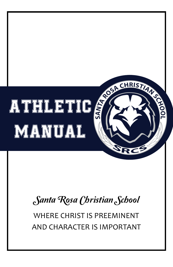

## Santa Rosa Christian School

WHERE CHRIST IS PREEMINENT AND CHARACTER IS IMPORTANT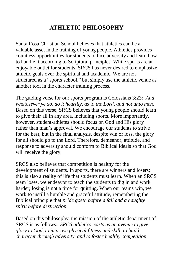## **ATHLETIC PHILOSOPHY**

Santa Rosa Christian School believes that athletics can be a valuable asset in the training of young people. Athletics provides countless opportunities for students to face adversity and learn how to handle it according to Scriptural principles. While sports are an enjoyable outlet for students, SRCS has never desired to emphasize athletic goals over the spiritual and academic. We are not structured as a "sports school," but simply use the athletic venue as another tool in the character training process.

The guiding verse for our sports program is Colossians 3:23: *And whatosever ye do, do it heartily, as to the Lord, and not unto men*. Based on this verse, SRCS believes that young people should learn to give their all in any area, including sports. More importantly, however, student-athletes should focus on God and His glory rather than man's approval. We encourage our students to strive for the best, but in the final analysis, despite win or loss, the glory for all should go to the Lord. Therefore, demeanor, attitude, and response to adversity should conform to Biblical ideals so that God will receive the glory.

SRCS also believes that competition is healthy for the development of students. In sports, there are winners and losers; this is also a reality of life that students must learn. When an SRCS team loses, we endeavor to teach the students to dig in and work harder; losing is not a time for quitting. When our teams win, we work to instill a humble and graceful attitude, remembering the Biblical principle that *pride goeth before a fall and a haughty spirit before destruction*.

Based on this philosophy, the mission of the athletic department of SRCS is as follows: *SRCS athletics exists as an avenue to give glory to God, to improve physical fitness and skill, to build character through adversity, and to foster healthy competition*.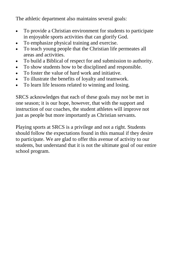The athletic department also maintains several goals:

- To provide a Christian environment for students to participate in enjoyable sports activities that can glorify God.
- To emphasize physical training and exercise.
- To teach young people that the Christian life permeates all areas and activities.
- To build a Biblical of respect for and submission to authority.
- To show students how to be disciplined and responsible.
- To foster the value of hard work and initiative.
- To illustrate the benefits of loyalty and teamwork.
- To learn life lessons related to winning and losing.

SRCS acknowledges that each of these goals may not be met in one season; it is our hope, however, that with the support and instruction of our coaches, the student athletes will improve not just as people but more importantly as Christian servants.

Playing sports at SRCS is a privilege and not a right. Students should follow the expectations found in this manual if they desire to participate. We are glad to offer this avenue of activity to our students, but understand that it is not the ultimate goal of our entire school program.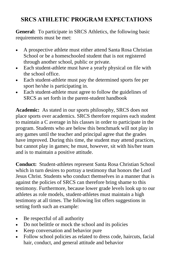## **SRCS ATHLETIC PROGRAM EXPECTATIONS**

**General:** To participate in SRCS Athletics, the following basic requirements must be met:

- A prospective athlete must either attend Santa Rosa Christian School or be a homeschooled student that is not registered through another school, public or private.
- Each student-athlete must have a yearly physical on file with the school office.
- Each student-athlete must pay the determined sports fee per sport he/she is participating in.
- Each student-athlete must agree to follow the guidelines of SRCS as set forth in the parent-student handbook

**Academic:** As stated in our sports philosophy, SRCS does not place sports over academics. SRCS therefore requires each student to maintain a C average in his classes in order to participate in the program. Students who are below this benchmark will not play in any games until the teacher and principal agree that the grades have improved. During this time, the student may attend practices, but cannot play in games; he must, however, sit with his/her team and is to maintain a positive attitude.

**Conduct:** Student-athletes represent Santa Rosa Christian School which in turn desires to portray a testimony that honors the Lord Jesus Christ. Students who conduct themselves in a manner that is against the policies of SRCS can therefore bring shame to this testimony. Furthermore, because lower grade levels look up to our athletes as role models, student-athletes must maintain a high testimony at all times. The following list offers suggestions in setting forth such an example:

- Be respectful of all authority
- Do not belittle or mock the school and its policies
- Keep conversation and behavior pure
- Follow school policies as related to dress code, haircuts, facial hair, conduct, and general attitude and behavior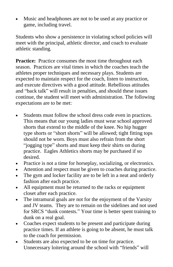Music and headphones are not to be used at any practice or game, including travel.

Students who show a persistence in violating school policies will meet with the principal, athletic director, and coach to evaluate athletic standing.

**Practice:** Practice consumes the most time throughout each season. Practices are vital times in which the coaches teach the athletes proper techniques and necessary plays. Students are expected to maintain respect for the coach, listen to instruction, and execute directives with a good attitude. Rebellious attitudes and "back talk" will result in penalties, and should these issues continue, the student will meet with administration. The following expectations are to be met:

- Students must follow the school dress code even in practices. This means that our young ladies must wear school approved shorts that extend to the middle of the knee. No hip hugger type shorts or "short shorts" will be allowed; tight fitting tops should not be worn. Boys must also refrain from the short "jogging type" shorts and must keep their shirts on during practice. Eagles Athletics shorts may be purchased if so desired.
- Practice is not a time for horseplay, socializing, or electronics.
- Attention and respect must be given to coaches during practice.
- The gym and locker facility are to be left in a neat and orderly fashion after each practice.
- All equipment must be returned to the racks or equipment closet after each practice.
- The intramural goals are not for the enjoyment of the Varsity and JV teams. They are to remain on the sidelines and not used for SRCS "dunk contests." Your time is better spent training to dunk on a real goal.
- Coaches expect students to be present and participate during practice times. If an athlete is going to be absent, he must talk to the coach for permission.
- Students are also expected to be on time for practice. Unnecessary loitering around the school with "friends" will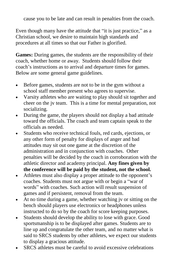cause you to be late and can result in penalties from the coach.

Even though many have the attitude that "it is just practice," as a Christian school, we desire to maintain high standards and procedures at all times so that our Father is glorified.

**Games:** During games, the students are the responsibility of their coach, whether home or away. Students should follow their coach's instructions as to arrival and departure times for games. Below are some general game guidelines.

- Before games, students are not to be in the gym without a school staff member present who agrees to supervise.
- Varsity athletes who are waiting to play should sit together and cheer on the jv team. This is a time for mental preparation, not socializing.
- During the game, the players should not display a bad attitude toward the officials. The coach and team captain speak to the officials as needed.
- Students who receive technical fouls, red cards, ejections, or any other form of penalty for displays of anger and bad attitudes may sit out one game at the discretion of the administration and in conjunction with coaches. Other penalties will be decided by the coach in corroboration with the athletic director and academy principal. **Any fines given by the conference will be paid by the student, not the school.**
- Athletes must also display a proper attitude to the opponent's coaches. Students must not argue with or begin a "war of words" with coaches. Such action will result suspension of games and if persistent, removal from the team.
- At no time during a game, whether watching jv or sitting on the bench should players use electronics or headphones unless instructed to do so by the coach for score keeping purposes.
- Students should develop the ability to lose with grace. Good sportsmanship is to be displayed after games. Students are to line up and congratulate the other team, and no matter what is said to SRCS students by other athletes, we expect our students to display a gracious attitude.
- SRCS athletes must be careful to avoid excessive celebrations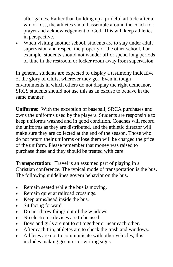after games. Rather than building up a prideful attitude after a win or loss, the athletes should assemble around the coach for prayer and acknowledgement of God. This will keep athletics in perspective.

 When visiting another school, students are to stay under adult supervision and respect the property of the other school. For example, students should not wander off or spend long periods of time in the restroom or locker room away from supervision.

In general, students are expected to display a testimony indicative of the glory of Christ wherever they go. Even in tough environments in which others do not display the right demeanor, SRCS students should not use this as an excuse to behave in the same manner.

**Uniforms:** With the exception of baseball, SRCA purchases and owns the uniforms used by the players. Students are responsible to keep uniforms washed and in good condition. Coaches will record the uniforms as they are distributed, and the athletic director will make sure they are collected at the end of the season. Those who do not return their uniforms or lose them will be charged the price of the uniform. Please remember that money was raised to purchase these and they should be treated with care.

**Transportation:** Travel is an assumed part of playing in a Christian conference. The typical mode of transportation is the bus. The following guidelines govern behavior on the bus.

- Remain seated while the bus is moving.
- Remain quiet at railroad crossings.
- Keep arms/head inside the bus.
- Sit facing forward
- Do not throw things out of the windows.
- No electronic devices are to be used.
- Boys and girls are not to sit together or near each other.
- After each trip, athletes are to check the trash and windows.
- Athletes are not to communicate with other vehicles; this includes making gestures or writing signs.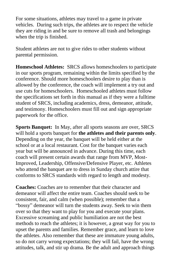For some situations, athletes may travel to a game in private vehicles. During such trips, the athletes are to respect the vehicle they are riding in and be sure to remove all trash and belongings when the trip is finished.

Student athletes are not to give rides to other students without parental permission.

**Homeschool Athletes:** SRCS allows homeschoolers to participate in our sports program, remaining within the limits specified by the conference. Should more homeschoolers desire to play than is allowed by the conference, the coach will implement a try out and use cuts for homeschoolers. Homeschooled athletes must follow the specifications set forth in this manual as if they were a fulltime student of SRCS, including academics, dress, demeanor, attitude, and testimony. Homeschoolers must fill out and sign appropriate paperwork for the office.

**Sports Banquet:** In May, after all sports seasons are over, SRCS will hold a sports banquet for **the athletes and their parents only**. Depending on the year, the banquet will be held either at the school or at a local restaurant. Cost for the banquet varies each year but will be announced in advance. During this time, each coach will present certain awards that range from MVP, Most-Improved, Leadership, Offensive/Defensive Player, etc. Athletes who attend the banquet are to dress in Sunday church attire that conforms to SRCS standards with regard to length and modesty.

**Coaches:** Coaches are to remember that their character and demeanor will affect the entire team. Coaches should seek to be consistent, fair, and calm (when possible); remember that a "bossy" demeanor will turn the students away. Seek to win them over so that they want to play for you and execute your plans. Excessive screaming and public humiliation are not the best methods to reach the athletes; it is however, a great way for you to upset the parents and families. Remember grace, and learn to love the athletes. Also remember that these are immature young adults, so do not carry wrong expectations; they will fail, have the wrong attitudes, talk, and stir up drama. Be the adult and approach things